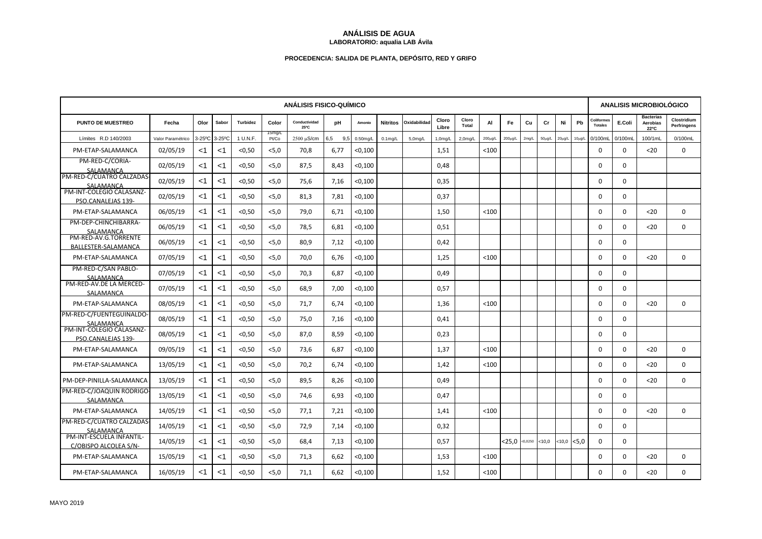## **ANÁLISIS DE AGUA LABORATORIO: aqualia LAB Ávila**

## **PROCEDENCIA: SALIDA DE PLANTA, DEPÓSITO, RED Y GRIFO**

| <b>ANÁLISIS FISICO-QUÍMICO</b>                    |                   |       |               |          |                 |                       |            |             |                 |                      |                |                      |         |               | <b>ANALISIS MICROBIOLÓGICO</b> |             |             |             |                              |             |                                      |                            |
|---------------------------------------------------|-------------------|-------|---------------|----------|-----------------|-----------------------|------------|-------------|-----------------|----------------------|----------------|----------------------|---------|---------------|--------------------------------|-------------|-------------|-------------|------------------------------|-------------|--------------------------------------|----------------------------|
| <b>PUNTO DE MUESTREO</b>                          | Fecha             | Olor  | Sabor         | Turbidez | Color           | Conductividad<br>25°C | pH         | Amonio      | <b>Nitritos</b> | Oxidabilidad         | Cloro<br>Libre | Cloro<br>Total       | AI      | Fe            | Cu                             | Cr          | Ni          | Pb          | Coliforme:<br><b>Totales</b> | E.Coli      | <b>Bacterias</b><br>Aerobias<br>22°C | Clostridium<br>Perfringens |
| Límites R.D 140/2003                              | Valor Paramétrico |       | 3-25°C 3-25°C | 1 U.N.F. | 15mg/L<br>Pt/Co | 2500 µS/cm            | 6,5<br>9.5 | $0.50$ mg/L | $0.1$ mg/L      | 5.0 <sub>m</sub> q/L | 1,0mg/L        | 2.0 <sub>m</sub> q/L | 200µg/L | $200 \mu g/L$ | 2mg/L                          | $50\mu g/L$ | $20\mu g/L$ | $10\mu g/L$ | 0/100mL                      | 0/100mL     | 100/1mL                              | 0/100mL                    |
| PM-ETAP-SALAMANCA                                 | 02/05/19          | <1    | $<$ 1         | < 0.50   | < 5.0           | 70,8                  | 6,77       | < 0,100     |                 |                      | 1,51           |                      | < 100   |               |                                |             |             |             | 0                            | $\Omega$    | $20$                                 | $\Omega$                   |
| PM-RED-C/CORIA-<br>SALAMANCA                      | 02/05/19          | <1    | $<$ 1         | < 0.50   | < 5.0           | 87,5                  | 8.43       | < 0,100     |                 |                      | 0.48           |                      |         |               |                                |             |             |             | $\Omega$                     | $\Omega$    |                                      |                            |
| PM-RED-C/CUATRO CALZADAS<br>SALAMANCA             | 02/05/19          | ا>    | $<$ 1         | < 0, 50  | < 5, 0          | 75,6                  | 7,16       | < 0,100     |                 |                      | 0,35           |                      |         |               |                                |             |             |             | 0                            | $\Omega$    |                                      |                            |
| PM-INT-COLEGIO CALASANZ-<br>PSO.CANALEJAS 139-    | 02/05/19          | $<$ 1 | <1            | < 0.50   | < 5.0           | 81,3                  | 7,81       | < 0,100     |                 |                      | 0,37           |                      |         |               |                                |             |             |             | 0                            | $\Omega$    |                                      |                            |
| PM-ETAP-SALAMANCA                                 | 06/05/19          | $<$ 1 | $<$ 1         | < 0.50   | < 5.0           | 79,0                  | 6,71       | < 0,100     |                 |                      | 1,50           |                      | < 100   |               |                                |             |             |             | $\Omega$                     | $\Omega$    | $20$                                 | $\Omega$                   |
| PM-DEP-CHINCHIBARRA-<br>SALAMANCA                 | 06/05/19          | $<$ 1 | $<$ 1         | < 0.50   | < 5.0           | 78,5                  | 6,81       | < 0,100     |                 |                      | 0,51           |                      |         |               |                                |             |             |             | $\mathbf 0$                  | $\Omega$    | $20$                                 | $\mathbf 0$                |
| PM-RED-AV.G.TORRENTE<br>BALLESTER-SALAMANCA       | 06/05/19          | ا>    | $<$ 1         | < 0.50   | < 5.0           | 80,9                  | 7,12       | < 0,100     |                 |                      | 0,42           |                      |         |               |                                |             |             |             | $\Omega$                     | $\Omega$    |                                      |                            |
| PM-ETAP-SALAMANCA                                 | 07/05/19          | $<$ 1 | $<$ 1         | < 0.50   | < 5.0           | 70,0                  | 6.76       | < 0,100     |                 |                      | 1,25           |                      | < 100   |               |                                |             |             |             | $\Omega$                     | $\Omega$    | $20$                                 | $\Omega$                   |
| PM-RED-C/SAN PABLO-<br>SALAMANCA                  | 07/05/19          | $<$ 1 | $<$ 1         | < 0.50   | < 5.0           | 70,3                  | 6.87       | < 0,100     |                 |                      | 0.49           |                      |         |               |                                |             |             |             | $\Omega$                     | $\Omega$    |                                      |                            |
| PM-RED-AV.DE LA MERCED-<br>SALAMANCA              | 07/05/19          | $<$ 1 | $<$ 1         | < 0.50   | < 5.0           | 68,9                  | 7,00       | < 0,100     |                 |                      | 0,57           |                      |         |               |                                |             |             |             | 0                            | $\Omega$    |                                      |                            |
| PM-ETAP-SALAMANCA                                 | 08/05/19          | $<$ 1 | $<$ 1         | < 0.50   | < 5.0           | 71,7                  | 6,74       | < 0,100     |                 |                      | 1,36           |                      | < 100   |               |                                |             |             |             | 0                            | $\Omega$    | $20$                                 | $\mathbf 0$                |
| PM-RED-C/FUENTEGUINALDO-<br>SALAMANCA             | 08/05/19          | $<$ 1 | $<$ 1         | < 0.50   | < 5.0           | 75.0                  | 7.16       | < 0,100     |                 |                      | 0.41           |                      |         |               |                                |             |             |             | $\Omega$                     | $\Omega$    |                                      |                            |
| PM-INT-COLEGIO CALASANZ-<br>PSO.CANALEJAS 139-    | 08/05/19          | $<$ 1 | $<$ 1         | < 0.50   | < 5.0           | 87,0                  | 8,59       | < 0,100     |                 |                      | 0,23           |                      |         |               |                                |             |             |             | $\mathbf 0$                  | $\mathbf 0$ |                                      |                            |
| PM-ETAP-SALAMANCA                                 | 09/05/19          | $<$ 1 | $<$ 1         | < 0.50   | < 5.0           | 73,6                  | 6,87       | < 0,100     |                 |                      | 1,37           |                      | $100$   |               |                                |             |             |             | 0                            | $\Omega$    | $20$                                 | $\mathbf 0$                |
| PM-ETAP-SALAMANCA                                 | 13/05/19          | $<$ 1 | $<$ 1         | < 0.50   | < 5.0           | 70,2                  | 6,74       | < 0,100     |                 |                      | 1,42           |                      | $<$ 100 |               |                                |             |             |             | 0                            | $\Omega$    | $20$                                 | $\Omega$                   |
| PM-DEP-PINILLA-SALAMANCA                          | 13/05/19          | $<$ 1 | $<$ 1         | < 0.50   | < 5.0           | 89.5                  | 8.26       | < 0.100     |                 |                      | 0.49           |                      |         |               |                                |             |             |             | $\Omega$                     | $\Omega$    | $20$                                 | $\Omega$                   |
| PM-RED-C/JOAQUIN RODRIGO<br>SALAMANCA             | 13/05/19          | <1    | <1            | < 0.50   | < 5.0           | 74,6                  | 6,93       | < 0,100     |                 |                      | 0,47           |                      |         |               |                                |             |             |             | 0                            | 0           |                                      |                            |
| PM-ETAP-SALAMANCA                                 | 14/05/19          | $<$ 1 | $<$ 1         | < 0.50   | < 5.0           | 77,1                  | 7,21       | < 0,100     |                 |                      | 1,41           |                      | $100$   |               |                                |             |             |             | $\Omega$                     | $\Omega$    | $20$                                 | $\mathbf 0$                |
| PM-RED-C/CUATRO CALZADAS<br>SALAMANCA             | 14/05/19          | $<$ 1 | $<$ 1         | < 0.50   | < 5.0           | 72,9                  | 7,14       | < 0,100     |                 |                      | 0,32           |                      |         |               |                                |             |             |             | $\Omega$                     | $\Omega$    |                                      |                            |
| PM-INT-ESCUELA INFANTIL-<br>C/OBISPO ALCOLEA S/N- | 14/05/19          | $<$ 1 | $<$ 1         | < 0.50   | < 5.0           | 68,4                  | 7,13       | < 0,100     |                 |                      | 0,57           |                      |         | 25,0          | < 0,0250                       | $10,0$      | <10,0       | < 5.0       | $\mathbf 0$                  | $\mathbf 0$ |                                      |                            |
| PM-ETAP-SALAMANCA                                 | 15/05/19          | <1    | <1            | < 0.50   | < 5.0           | 71,3                  | 6,62       | < 0,100     |                 |                      | 1,53           |                      | $<$ 100 |               |                                |             |             |             | 0                            | 0           | $20$                                 | $\mathbf 0$                |
| PM-ETAP-SALAMANCA                                 | 16/05/19          | <1    | <1            | < 0.50   | < 5, 0          | 71,1                  | 6,62       | < 0,100     |                 |                      | 1,52           |                      | < 100   |               |                                |             |             |             | $\Omega$                     | $\Omega$    | $20$                                 | $\mathbf 0$                |